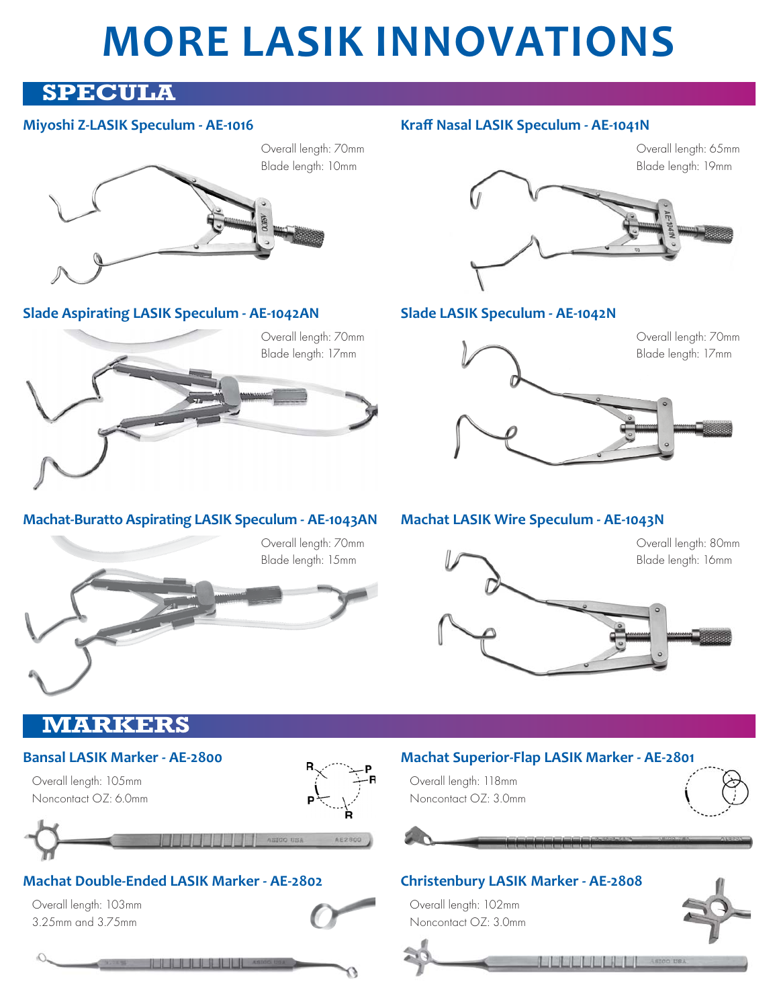# **MORE LASIK INNOVATIONS**

# **SPECULA**

#### **Miyoshi Z-LASIK Speculum - AE-1016**





**Slade Aspirating LASIK Speculum - AE-1042AN**



## **Machat-Buratto Aspirating LASIK Speculum - AE-1043AN**



# **Kraff Nasal LASIK Speculum - AE-1041N**



## **Slade LASIK Speculum - AE-1042N**



### **Machat LASIK Wire Speculum - AE-1043N**



**LULLLLLL** Astoo USA

# **MARKERS**

#### **Bansal LASIK Marker - AE-2800**

**Machat Double-Ended LASIK Marker - AE-2802**

**A SERIES ASIAN ASIAN** 

Overall length: 105mm Noncontact OZ: 6.0mm

Overall length: 103mm 3.25mm and 3.75mm



AE280

#### **Machat Superior-Flap LASIK Marker - AE-2801**

Overall length: 118mm Noncontact OZ: 3.0mm





Overall length: 102mm Noncontact OZ: 3.0mm